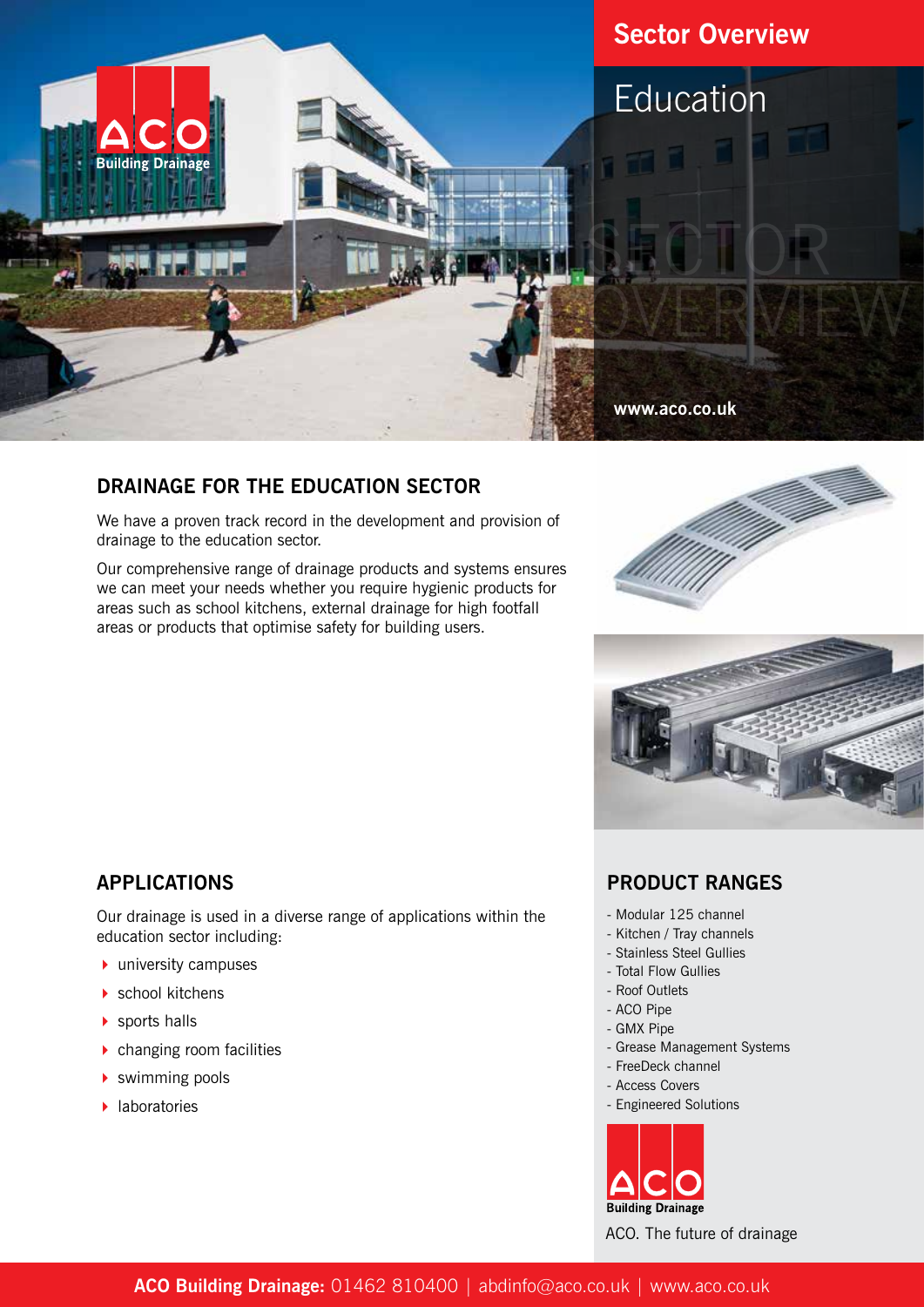

## **DRAINAGE FOR THE EDUCATION SECTOR**

We have a proven track record in the development and provision of drainage to the education sector.

Our comprehensive range of drainage products and systems ensures we can meet your needs whether you require hygienic products for areas such as school kitchens, external drainage for high footfall areas or products that optimise safety for building users.





## **APPLICATIONS**

Our drainage is used in a diverse range of applications within the education sector including:

- $\blacktriangleright$  university campuses
- $\blacktriangleright$  school kitchens
- $\blacktriangleright$  sports halls
- $\blacktriangleright$  changing room facilities
- $\blacktriangleright$  swimming pools
- $\blacktriangleright$  laboratories

#### **PRODUCT RANGES**

- Modular 125 channel
- Kitchen / Tray channels
- Stainless Steel Gullies
- Total Flow Gullies
- Roof Outlets
- ACO Pipe
- GMX Pipe
- Grease Management Systems
- FreeDeck channel
- Access Covers
- Engineered Solutions



ACO. The future of drainage